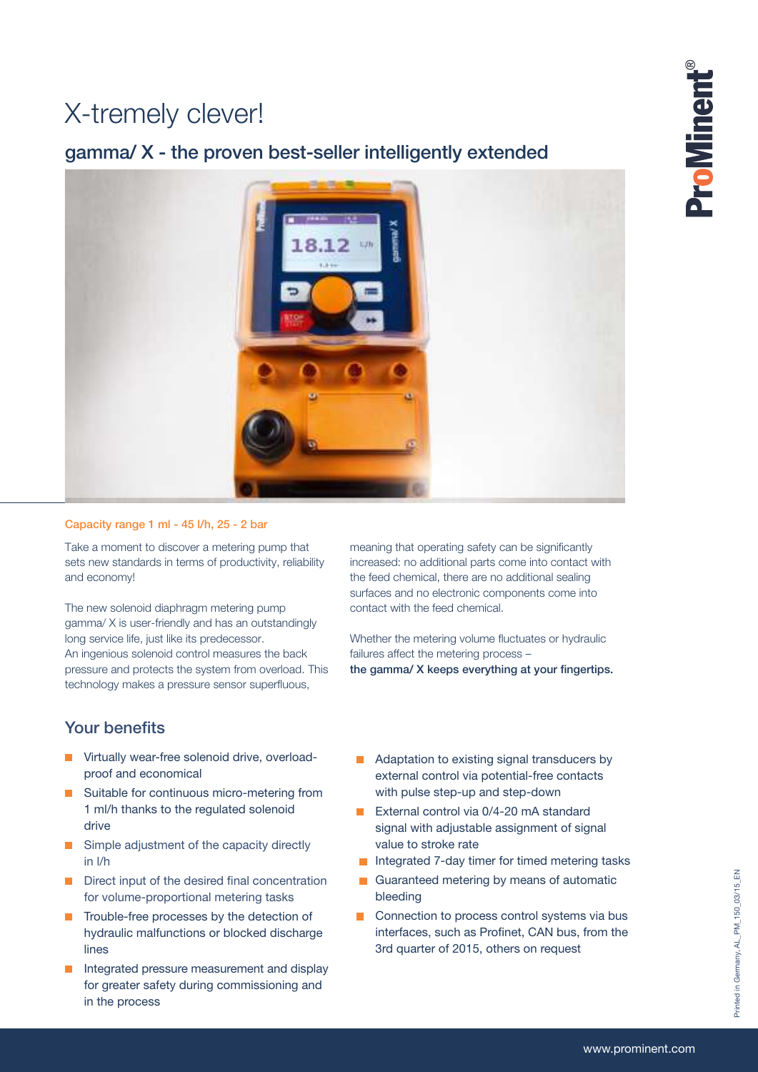## X-tremely clever!

## gamma/ X - the proven best-seller intelligently extended



### Capacity range 1 ml - 45 l/h, 25 - 2 bar

Take a moment to discover a metering pump that sets new standards in terms of productivity, reliability and economy!

The new solenoid diaphragm metering pump gamma/ X is user-friendly and has an outstandingly long service life, just like its predecessor. An ingenious solenoid control measures the back pressure and protects the system from overload. This technology makes a pressure sensor superfluous,

meaning that operating safety can be significantly increased: no additional parts come into contact with the feed chemical, there are no additional sealing surfaces and no electronic components come into contact with the feed chemical.

Whether the metering volume fluctuates or hydraulic failures affect the metering process the gamma/ X keeps everything at your fingertips.

### Your benefits

- **Virtually wear-free solenoid drive, overload**proof and economical
- Suitable for continuous micro-metering from 1 ml/h thanks to the regulated solenoid drive
- Simple adjustment of the capacity directly  $\mathbf{r}$ in l/h
- Direct input of the desired final concentration for volume-proportional metering tasks
- Trouble-free processes by the detection of hydraulic malfunctions or blocked discharge lines
- Integrated pressure measurement and display for greater safety during commissioning and in the process
- **Adaptation to existing signal transducers by** external control via potential-free contacts with pulse step-up and step-down
- External control via 0/4-20 mA standard signal with adjustable assignment of signal value to stroke rate
- Integrated 7-day timer for timed metering tasks
- $\overline{\phantom{0}}$ Guaranteed metering by means of automatic bleeding
- Connection to process control systems via bus  $\overline{\phantom{a}}$ interfaces, such as Profinet, CAN bus, from the 3rd quarter of 2015, others on request